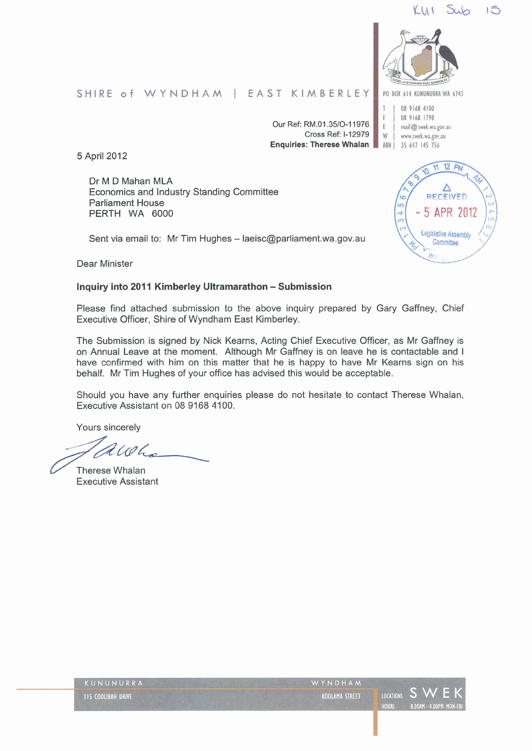# KU I



08 9168 4100 F | 08 9168 1798<br>F | mail@swekwa E | mail@ swek.wa.gov.au<br>W | www.swek.wa.gov.au www.swek.wa.gov.au ABN | 35 647 145 756

SHIRE of WYNDHAM | EAST KIMBERLEY PO BOX 614 KUNUNURRA WA 6743

Our Ref: RM.01.35/0-11976 Cross Ref: 1-12979 Enquiries: Therese Whalan

5 April2012

Dr M D Mahan MLA Economics and Industry Standing Committee Parliament House PERTH WA 6000

 $12 P<sub>A</sub>$ RECEIVED 5 APR 201  $\overline{t}$ Legislative Assembly Committee

Dear Minister

#### Inquiry into 2011 Kimberley Ultramarathon- Submission

Sent via email to: Mr Tim Hughes - laeisc@parliament.wa.gov.au

Please find attached submission to the above inquiry prepared by Gary Gaffney, Chief Executive Officer, Shire of Wyndham East Kimberley.

The Submission is signed by Nick Kearns, Acting Chief Executive Officer, as Mr Gaffney is on Annual Leave at the moment. Although Mr Gaffney is on leave he is contactable and I have confirmed with him on this matter that he is happy to have Mr Kearns sign on his behalf. Mr Tim Hughes of your office has advised this would be acceptable.

Should you have any further enquiries please do not hesitate to contact Therese Whalan, Executive Assistant on 08 9168 4100.

Yours sincerely

*d CO Learners*<br>Therese Whalan<br>Executive Assistant

| KUNUNURRA                 | WYNDHAM        |       |                    |
|---------------------------|----------------|-------|--------------------|
| <b>IIS COOLIBAH DRIVE</b> | KOOLAMA STREET |       | LOCATIONS S WE     |
|                           |                | HOURS | 8.00AM - 4.00PM MO |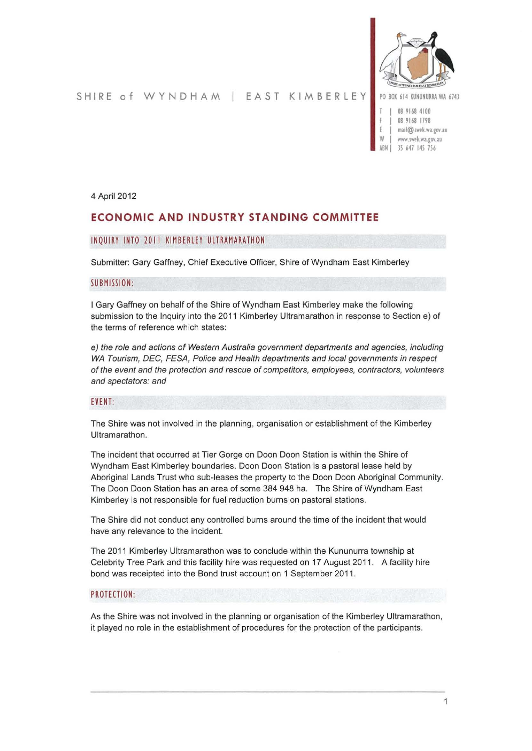

SHIRE of WYNDHAM | EAST KIMBERLEY PO BOX 614 KUNUNURRA WA 6743

- 08 9168 4100 08 9168 1798 mail@ swek.wa.gov.au
- W | www.swek.wa.gov.au<br>ARN | 35 647 145 756 35 647 145 756

4 April 2012

# **ECONOMIC AND INDUSTRY STANDING COMMITTEE**

#### INQUIRY INTO 20 II KIMBERLEY ULTRAMARATHON

Submitter: Gary Gaffney, Chief Executive Officer, Shire of Wyndham East Kimberley

#### SUBMISSION:

I Gary Gaffney on behalf of the Shire of Wyndham East Kimberley make the following submission to the Inquiry into the 2011 Kimberley Ultramarathon in response to Section e) of the terms of reference which states:

e) the role and actions of Western Australia government departments and agencies, including WA Tourism, DEC, FESA, Police and Health departments and local governments in respect of the event and the protection and rescue of competitors, employees, contractors, volunteers and spectators: and

#### EVENT:

The Shire was not involved in the planning, organisation or establishment of the Kimberley Ultramarathon.

The incident that occurred at Tier Gorge on Doon Doon Station is within the Shire of Wyndham East Kimberley boundaries. Doon Doon Station is a pastoral lease held by Aboriginal Lands Trust who sub-leases the property to the Doon Doon Aboriginal Community. The Doon Doon Station has an area of some 384 948 ha. The Shire of Wyndham East Kimberley is not responsible for fuel reduction burns on pastoral stations.

The Shire did not conduct any controlled burns around the time of the incident that would have any relevance to the incident.

The 2011 Kimberley Ultramarathon was to conclude within the Kununurra township at Celebrity Tree Park and this facility hire was requested on 17 August 2011. A facility hire bond was receipted into the Bond trust account on 1 September 2011.

#### PROTECTION:

As the Shire was not involved in the planning or organisation of the Kimberley Ultramarathon, it played no role in the establishment of procedures for the protection of the participants.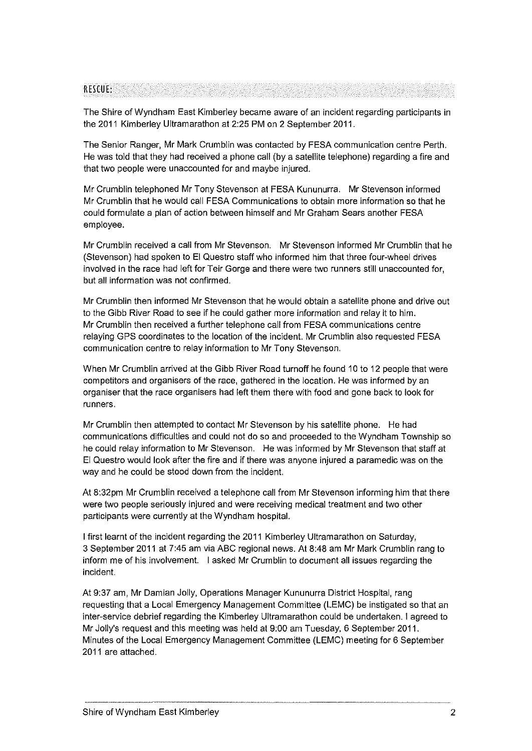#### RESCUE:

The Shire of Wyndham East Kimberley became aware of an incident regarding participants in the 2011 Kimberley Ultramarathon at 2:25 PM on 2 September 2011.

The Senior Ranger, Mr Mark Crumblin was contacted by FESA communication centre Perth. He was told that they had received a phone call (by a satellite telephone) regarding a fire and that two people were unaccounted for and maybe injured.

Mr Crumblin telephoned Mr Tony Stevenson at FESA Kununurra. Mr Stevenson informed Mr Crumblin that he would call FESA Communications to obtain more information so that he could formulate a plan of action between himself and Mr Graham Sears another FESA employee.

Mr Crumblin received a call from Mr Stevenson. Mr Stevenson informed Mr Crumblin that he (Stevenson) had spoken to El Questro staff who informed him that three four-wheel drives involved in the race had left for Teir Gorge and there were two runners still unaccounted for, but all information was not confirmed.

Mr Crumblin then informed Mr Stevenson that he would obtain a satellite phone and drive out to the Gibb River Road to see if he could gather more information and relay it to him. Mr Crumblin then received a further telephone call from FESA communications centre relaying GPS coordinates to the location of the incident. Mr Crumblin also requested FESA communication centre to relay information to Mr Tony Stevenson.

When Mr Crumblin arrived at the Gibb River Road turnoff he found 10 to 12 people that were competitors and organisers of the race, gathered in the location. He was informed by an organiser that the race organisers had left them there with food and gone back to look for runners.

Mr Crumblin then attempted to contact Mr Stevenson by his satellite phone. He had communications difficulties and could not do so and proceeded to the Wyndham Township so he could relay information to Mr Stevenson. He was informed by Mr Stevenson that staff at El Questro would look after the fire and if there was anyone injured a paramedic was on the way and he could be stood down from the incident.

At 8:32pm Mr Crumblin received a telephone call from Mr Stevenson informing him that there were two people seriously injured and were receiving medical treatment and two other participants were currently at the Wyndham hospital.

I first learnt of the incident regarding the 2011 Kimberley Ultramarathon on Saturday, 3 September 2011 at 7:45am via ABC regional news. At 8:48am Mr Mark Crumblin rang to inform me of his involvement. I asked Mr Crumblin to document all issues regarding the incident.

At 9:37 am, Mr Damian Jolly, Operations Manager Kununurra District Hospital, rang requesting that a Local Emergency Management Committee (LEMC) be instigated so that an inter-service debrief regarding the Kimberley Ultramarathon could be undertaken. I agreed to Mr Jolly's request and this meeting was held at 9:00 am Tuesday, 6 September 2011. Minutes of the Local Emergency Management Committee (LEMC) meeting for 6 September 2011 are attached.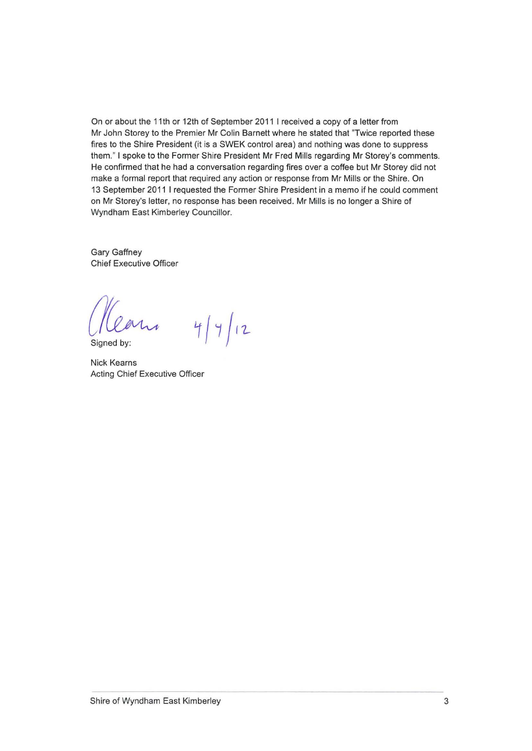On or about the 11th or 12th of September 2011 I received a copy of a letter from Mr John Storey to the Premier Mr Colin Barnett where he stated that "Twice reported these fires to the Shire President (it is a SWEK control area) and nothing was done to suppress them." I spoke to the Former Shire President Mr Fred Mills regarding Mr Storey's comments. He confirmed that he had a conversation regarding fires over a coffee but Mr Storey did not make a formal report that required any action or response from Mr Mills or the Shire. On 13 September 2011 I requested the Former Shire President in a memo if he could comment on Mr Storey's letter, no response has been received. Mr Mills is no longer a Shire of Wyndham East Kimberley Councillor.

Gary Gaffney Chief Executive Officer

 $4/4/12$ Mrs

Signed by:

Nick Kearns Acting Chief Executive Officer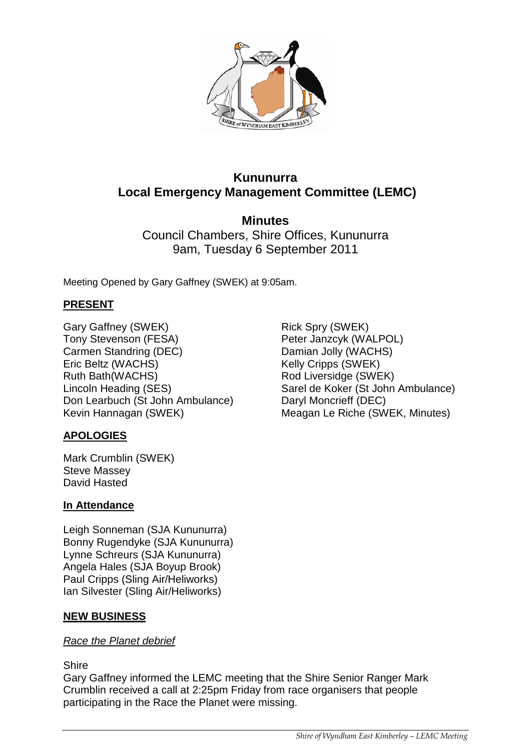

# **Kununurra Local Emergency Management Committee (LEMC)**

**Minutes** Council Chambers, Shire Offices, Kununurra 9am, Tuesday 6 September 2011

Meeting Opened by Gary Gaffney (SWEK) at 9:05am.

# **PRESENT**

Gary Gaffney (SWEK) Tony Stevenson (FESA) Carmen Standring (DEC) Eric Beltz (WACHS) Ruth Bath(WACHS) Lincoln Heading (SES) Don Learbuch (St John Ambulance) Kevin Hannagan (SWEK)

# **APOLOGIES**

Mark Crumblin (SWEK) Steve Massey David Hasted

## **In Attendance**

Leigh Sonneman (SJA Kununurra) Bonny Rugendyke (SJA Kununurra) Lynne Schreurs (SJA Kununurra) Angela Hales (SJA Boyup Brook) Paul Cripps (Sling Air/Heliworks) Ian Silvester (Sling Air/Heliworks)

## **NEW BUSINESS**

#### *Race the Planet debrief*

#### Shire

Gary Gaffney informed the LEMC meeting that the Shire Senior Ranger Mark Crumblin received a call at 2:25pm Friday from race organisers that people participating in the Race the Planet were missing.

Rick Spry (SWEK) Peter Janzcyk (WALPOL) Damian Jolly (WACHS) Kelly Cripps (SWEK) Rod Liversidge (SWEK) Sarel de Koker (St John Ambulance) Daryl Moncrieff (DEC) Meagan Le Riche (SWEK, Minutes)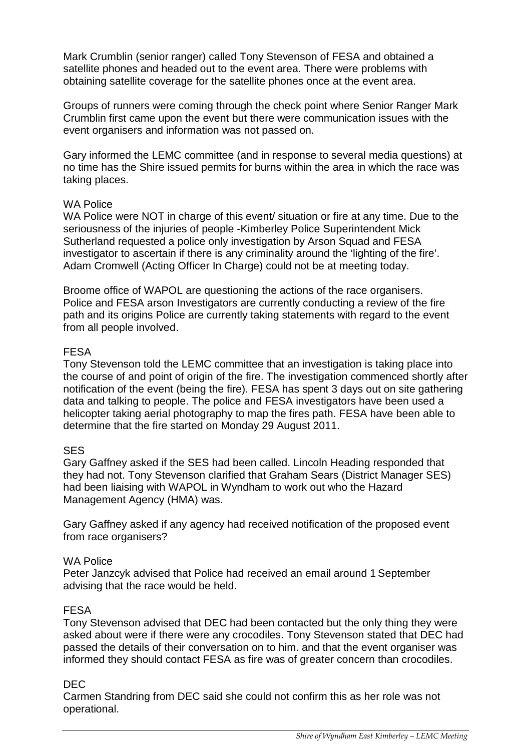Mark Crumblin (senior ranger) called Tony Stevenson of FESA and obtained a satellite phones and headed out to the event area. There were problems with obtaining satellite coverage for the satellite phones once at the event area.

Groups of runners were coming through the check point where Senior Ranger Mark Crumblin first came upon the event but there were communication issues with the event organisers and information was not passed on.

Gary informed the LEMC committee (and in response to several media questions) at no time has the Shire issued permits for burns within the area in which the race was taking places.

## WA Police

WA Police were NOT in charge of this event/ situation or fire at any time. Due to the seriousness of the injuries of people -Kimberley Police Superintendent Mick Sutherland requested a police only investigation by Arson Squad and FESA investigator to ascertain if there is any criminality around the 'lighting of the fire'. Adam Cromwell (Acting Officer In Charge) could not be at meeting today.

Broome office of WAPOL are questioning the actions of the race organisers. Police and FESA arson Investigators are currently conducting a review of the fire path and its origins Police are currently taking statements with regard to the event from all people involved.

## FESA

Tony Stevenson told the LEMC committee that an investigation is taking place into the course of and point of origin of the fire. The investigation commenced shortly after notification of the event (being the fire). FESA has spent 3 days out on site gathering data and talking to people. The police and FESA investigators have been used a helicopter taking aerial photography to map the fires path. FESA have been able to determine that the fire started on Monday 29 August 2011.

# SES

Gary Gaffney asked if the SES had been called. Lincoln Heading responded that they had not. Tony Stevenson clarified that Graham Sears (District Manager SES) had been liaising with WAPOL in Wyndham to work out who the Hazard Management Agency (HMA) was.

Gary Gaffney asked if any agency had received notification of the proposed event from race organisers?

## WA Police

Peter Janzcyk advised that Police had received an email around 1 September advising that the race would be held.

# FESA

Tony Stevenson advised that DEC had been contacted but the only thing they were asked about were if there were any crocodiles. Tony Stevenson stated that DEC had passed the details of their conversation on to him. and that the event organiser was informed they should contact FESA as fire was of greater concern than crocodiles.

## DEC

Carmen Standring from DEC said she could not confirm this as her role was not operational.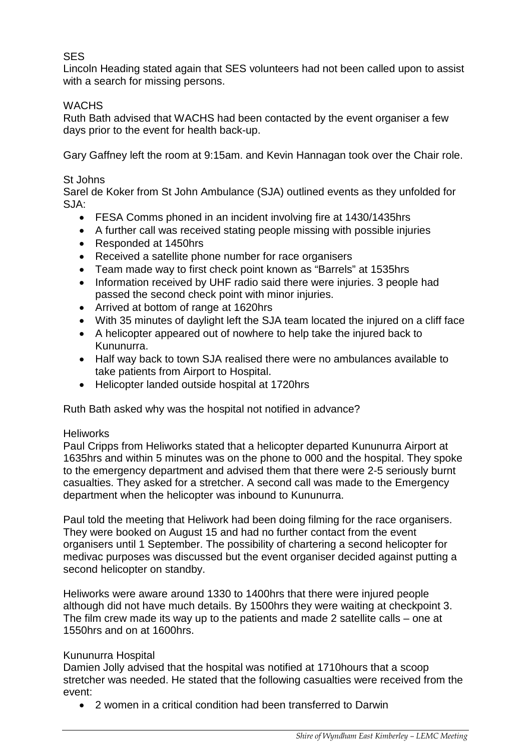# SES

Lincoln Heading stated again that SES volunteers had not been called upon to assist with a search for missing persons.

# **WACHS**

Ruth Bath advised that WACHS had been contacted by the event organiser a few days prior to the event for health back-up.

Gary Gaffney left the room at 9:15am. and Kevin Hannagan took over the Chair role.

# St Johns

Sarel de Koker from St John Ambulance (SJA) outlined events as they unfolded for SJA:

- FESA Comms phoned in an incident involving fire at 1430/1435hrs
- A further call was received stating people missing with possible injuries
- Responded at 1450hrs
- Received a satellite phone number for race organisers
- Team made way to first check point known as "Barrels" at 1535hrs
- Information received by UHF radio said there were injuries. 3 people had passed the second check point with minor injuries.
- Arrived at bottom of range at 1620hrs
- With 35 minutes of daylight left the SJA team located the injured on a cliff face
- A helicopter appeared out of nowhere to help take the injured back to Kununurra.
- Half way back to town SJA realised there were no ambulances available to take patients from Airport to Hospital.
- Helicopter landed outside hospital at 1720hrs

Ruth Bath asked why was the hospital not notified in advance?

# **Heliworks**

Paul Cripps from Heliworks stated that a helicopter departed Kununurra Airport at 1635hrs and within 5 minutes was on the phone to 000 and the hospital. They spoke to the emergency department and advised them that there were 2-5 seriously burnt casualties. They asked for a stretcher. A second call was made to the Emergency department when the helicopter was inbound to Kununurra.

Paul told the meeting that Heliwork had been doing filming for the race organisers. They were booked on August 15 and had no further contact from the event organisers until 1 September. The possibility of chartering a second helicopter for medivac purposes was discussed but the event organiser decided against putting a second helicopter on standby.

Heliworks were aware around 1330 to 1400hrs that there were injured people although did not have much details. By 1500hrs they were waiting at checkpoint 3. The film crew made its way up to the patients and made 2 satellite calls – one at 1550hrs and on at 1600hrs.

# Kununurra Hospital

Damien Jolly advised that the hospital was notified at 1710hours that a scoop stretcher was needed. He stated that the following casualties were received from the event:

• 2 women in a critical condition had been transferred to Darwin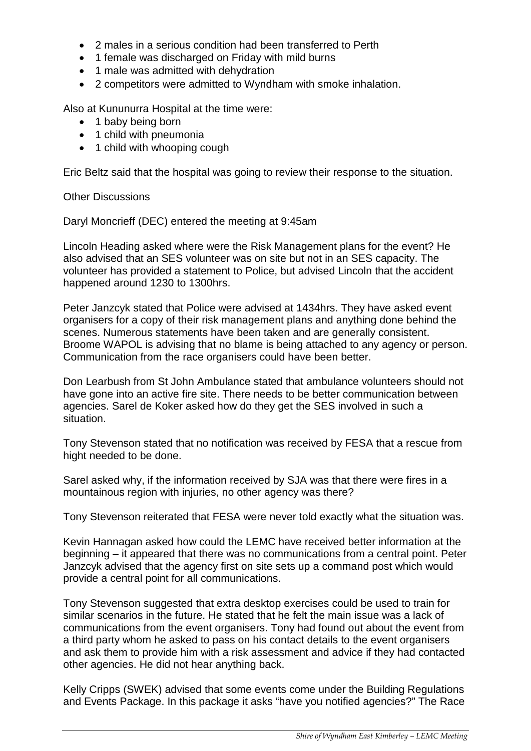- 2 males in a serious condition had been transferred to Perth
- 1 female was discharged on Friday with mild burns
- 1 male was admitted with dehydration
- 2 competitors were admitted to Wyndham with smoke inhalation.

Also at Kununurra Hospital at the time were:

- 1 baby being born
- 1 child with pneumonia
- 1 child with whooping cough

Eric Beltz said that the hospital was going to review their response to the situation.

Other Discussions

Daryl Moncrieff (DEC) entered the meeting at 9:45am

Lincoln Heading asked where were the Risk Management plans for the event? He also advised that an SES volunteer was on site but not in an SES capacity. The volunteer has provided a statement to Police, but advised Lincoln that the accident happened around 1230 to 1300hrs.

Peter Janzcyk stated that Police were advised at 1434hrs. They have asked event organisers for a copy of their risk management plans and anything done behind the scenes. Numerous statements have been taken and are generally consistent. Broome WAPOL is advising that no blame is being attached to any agency or person. Communication from the race organisers could have been better.

Don Learbush from St John Ambulance stated that ambulance volunteers should not have gone into an active fire site. There needs to be better communication between agencies. Sarel de Koker asked how do they get the SES involved in such a situation.

Tony Stevenson stated that no notification was received by FESA that a rescue from hight needed to be done.

Sarel asked why, if the information received by SJA was that there were fires in a mountainous region with injuries, no other agency was there?

Tony Stevenson reiterated that FESA were never told exactly what the situation was.

Kevin Hannagan asked how could the LEMC have received better information at the beginning – it appeared that there was no communications from a central point. Peter Janzcyk advised that the agency first on site sets up a command post which would provide a central point for all communications.

Tony Stevenson suggested that extra desktop exercises could be used to train for similar scenarios in the future. He stated that he felt the main issue was a lack of communications from the event organisers. Tony had found out about the event from a third party whom he asked to pass on his contact details to the event organisers and ask them to provide him with a risk assessment and advice if they had contacted other agencies. He did not hear anything back.

Kelly Cripps (SWEK) advised that some events come under the Building Regulations and Events Package. In this package it asks "have you notified agencies?" The Race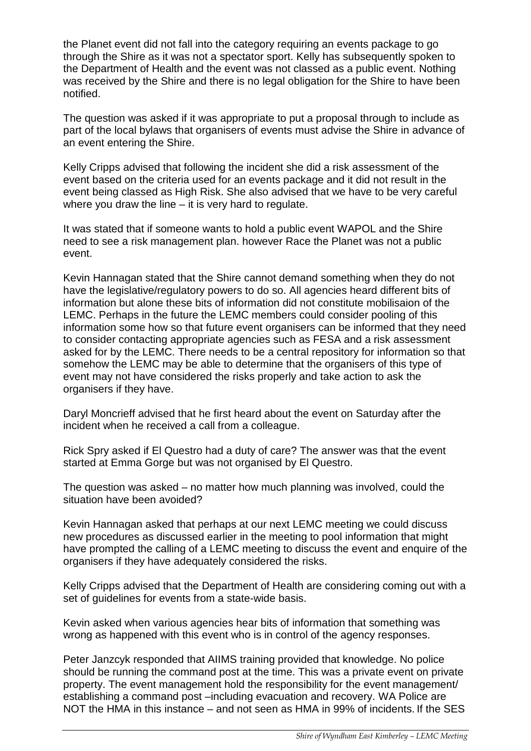the Planet event did not fall into the category requiring an events package to go through the Shire as it was not a spectator sport. Kelly has subsequently spoken to the Department of Health and the event was not classed as a public event. Nothing was received by the Shire and there is no legal obligation for the Shire to have been notified.

The question was asked if it was appropriate to put a proposal through to include as part of the local bylaws that organisers of events must advise the Shire in advance of an event entering the Shire.

Kelly Cripps advised that following the incident she did a risk assessment of the event based on the criteria used for an events package and it did not result in the event being classed as High Risk. She also advised that we have to be very careful where you draw the line – it is very hard to regulate.

It was stated that if someone wants to hold a public event WAPOL and the Shire need to see a risk management plan. however Race the Planet was not a public event.

Kevin Hannagan stated that the Shire cannot demand something when they do not have the legislative/regulatory powers to do so. All agencies heard different bits of information but alone these bits of information did not constitute mobilisaion of the LEMC. Perhaps in the future the LEMC members could consider pooling of this information some how so that future event organisers can be informed that they need to consider contacting appropriate agencies such as FESA and a risk assessment asked for by the LEMC. There needs to be a central repository for information so that somehow the LEMC may be able to determine that the organisers of this type of event may not have considered the risks properly and take action to ask the organisers if they have.

Daryl Moncrieff advised that he first heard about the event on Saturday after the incident when he received a call from a colleague.

Rick Spry asked if El Questro had a duty of care? The answer was that the event started at Emma Gorge but was not organised by El Questro.

The question was asked – no matter how much planning was involved, could the situation have been avoided?

Kevin Hannagan asked that perhaps at our next LEMC meeting we could discuss new procedures as discussed earlier in the meeting to pool information that might have prompted the calling of a LEMC meeting to discuss the event and enquire of the organisers if they have adequately considered the risks.

Kelly Cripps advised that the Department of Health are considering coming out with a set of guidelines for events from a state-wide basis.

Kevin asked when various agencies hear bits of information that something was wrong as happened with this event who is in control of the agency responses.

Peter Janzcyk responded that AIIMS training provided that knowledge. No police should be running the command post at the time. This was a private event on private property. The event management hold the responsibility for the event management/ establishing a command post –including evacuation and recovery. WA Police are NOT the HMA in this instance – and not seen as HMA in 99% of incidents. If the SES